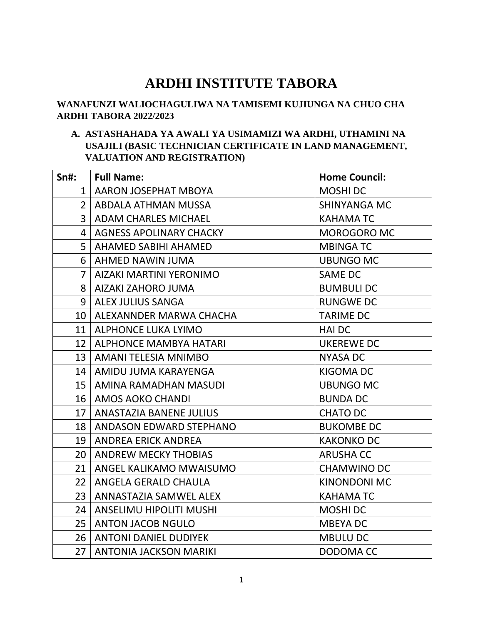# **ARDHI INSTITUTE TABORA**

## **WANAFUNZI WALIOCHAGULIWA NA TAMISEMI KUJIUNGA NA CHUO CHA ARDHI TABORA 2022/2023**

#### **A. ASTASHAHADA YA AWALI YA USIMAMIZI WA ARDHI, UTHAMINI NA USAJILI (BASIC TECHNICIAN CERTIFICATE IN LAND MANAGEMENT, VALUATION AND REGISTRATION)**

| $Sn$ #:        | <b>Full Name:</b>              | <b>Home Council:</b> |
|----------------|--------------------------------|----------------------|
| $\mathbf{1}$   | AARON JOSEPHAT MBOYA           | <b>MOSHIDC</b>       |
| $\overline{2}$ | ABDALA ATHMAN MUSSA            | <b>SHINYANGA MC</b>  |
| $\overline{3}$ | <b>ADAM CHARLES MICHAEL</b>    | <b>KAHAMATC</b>      |
| 4              | <b>AGNESS APOLINARY CHACKY</b> | <b>MOROGORO MC</b>   |
| 5              | AHAMED SABIHI AHAMED           | <b>MBINGATC</b>      |
| 6              | AHMED NAWIN JUMA               | <b>UBUNGO MC</b>     |
| $\overline{7}$ | AIZAKI MARTINI YERONIMO        | <b>SAME DC</b>       |
| 8              | AIZAKI ZAHORO JUMA             | <b>BUMBULI DC</b>    |
| 9              | <b>ALEX JULIUS SANGA</b>       | <b>RUNGWE DC</b>     |
| 10             | ALEXANNDER MARWA CHACHA        | <b>TARIME DC</b>     |
| 11             | <b>ALPHONCE LUKA LYIMO</b>     | <b>HAI DC</b>        |
| 12             | ALPHONCE MAMBYA HATARI         | <b>UKEREWE DC</b>    |
| 13             | AMANI TELESIA MNIMBO           | <b>NYASA DC</b>      |
| 14             | AMIDU JUMA KARAYENGA           | <b>KIGOMA DC</b>     |
| 15             | AMINA RAMADHAN MASUDI          | <b>UBUNGO MC</b>     |
| 16             | AMOS AOKO CHANDI               | <b>BUNDA DC</b>      |
| 17             | ANASTAZIA BANENE JULIUS        | <b>CHATO DC</b>      |
| 18             | ANDASON EDWARD STEPHANO        | <b>BUKOMBE DC</b>    |
| 19             | <b>ANDREA ERICK ANDREA</b>     | <b>KAKONKO DC</b>    |
| 20             | <b>ANDREW MECKY THOBIAS</b>    | <b>ARUSHA CC</b>     |
| 21             | ANGEL KALIKAMO MWAISUMO        | <b>CHAMWINO DC</b>   |
| 22             | ANGELA GERALD CHAULA           | <b>KINONDONI MC</b>  |
| 23             | ANNASTAZIA SAMWEL ALEX         | <b>KAHAMATC</b>      |
| 24             | ANSELIMU HIPOLITI MUSHI        | <b>MOSHIDC</b>       |
| 25             | <b>ANTON JACOB NGULO</b>       | <b>MBEYADC</b>       |
| 26             | <b>ANTONI DANIEL DUDIYEK</b>   | <b>MBULU DC</b>      |
| 27             | <b>ANTONIA JACKSON MARIKI</b>  | DODOMA CC            |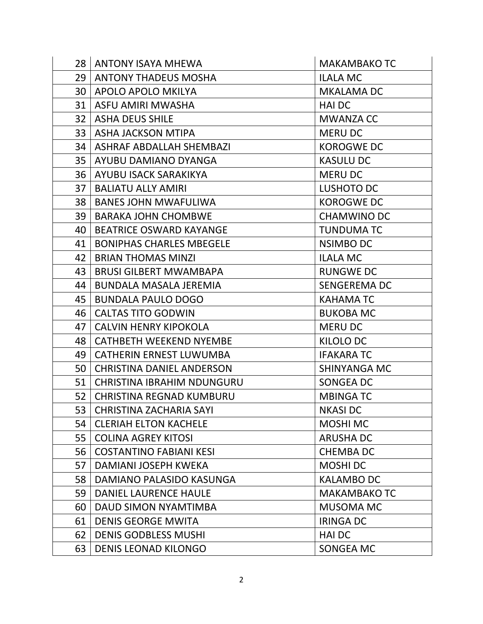|    | 28   ANTONY ISAYA MHEWA          | <b>MAKAMBAKO TC</b> |
|----|----------------------------------|---------------------|
| 29 | <b>ANTONY THADEUS MOSHA</b>      | <b>ILALA MC</b>     |
| 30 | APOLO APOLO MKILYA               | <b>MKALAMA DC</b>   |
| 31 | ASFU AMIRI MWASHA                | <b>HAIDC</b>        |
| 32 | <b>ASHA DEUS SHILE</b>           | <b>MWANZA CC</b>    |
| 33 | <b>ASHA JACKSON MTIPA</b>        | <b>MERU DC</b>      |
| 34 | ASHRAF ABDALLAH SHEMBAZI         | <b>KOROGWEDC</b>    |
| 35 | AYUBU DAMIANO DYANGA             | <b>KASULU DC</b>    |
| 36 | AYUBU ISACK SARAKIKYA            | <b>MERU DC</b>      |
| 37 | <b>BALIATU ALLY AMIRI</b>        | LUSHOTO DC          |
| 38 | <b>BANES JOHN MWAFULIWA</b>      | <b>KOROGWEDC</b>    |
| 39 | <b>BARAKA JOHN CHOMBWE</b>       | <b>CHAMWINO DC</b>  |
| 40 | <b>BEATRICE OSWARD KAYANGE</b>   | <b>TUNDUMA TC</b>   |
| 41 | <b>BONIPHAS CHARLES MBEGELE</b>  | <b>NSIMBO DC</b>    |
| 42 | <b>BRIAN THOMAS MINZI</b>        | <b>ILALA MC</b>     |
| 43 | <b>BRUSI GILBERT MWAMBAPA</b>    | <b>RUNGWE DC</b>    |
| 44 | <b>BUNDALA MASALA JEREMIA</b>    | <b>SENGEREMA DC</b> |
| 45 | <b>BUNDALA PAULO DOGO</b>        | <b>KAHAMATC</b>     |
| 46 | <b>CALTAS TITO GODWIN</b>        | <b>BUKOBA MC</b>    |
| 47 | <b>CALVIN HENRY KIPOKOLA</b>     | <b>MERU DC</b>      |
| 48 | <b>CATHBETH WEEKEND NYEMBE</b>   | KILOLO DC           |
| 49 | <b>CATHERIN ERNEST LUWUMBA</b>   | <b>IFAKARA TC</b>   |
| 50 | <b>CHRISTINA DANIEL ANDERSON</b> | <b>SHINYANGA MC</b> |
| 51 | CHRISTINA IBRAHIM NDUNGURU       | <b>SONGEA DC</b>    |
| 52 | <b>CHRISTINA REGNAD KUMBURU</b>  | <b>MBINGATC</b>     |
| 53 | <b>CHRISTINA ZACHARIA SAYI</b>   | <b>NKASI DC</b>     |
| 54 | <b>CLERIAH ELTON KACHELE</b>     | <b>MOSHI MC</b>     |
| 55 | <b>COLINA AGREY KITOSI</b>       | <b>ARUSHA DC</b>    |
| 56 | <b>COSTANTINO FABIANI KESI</b>   | <b>CHEMBA DC</b>    |
| 57 | DAMIANI JOSEPH KWEKA             | MOSHI DC            |
| 58 | DAMIANO PALASIDO KASUNGA         | <b>KALAMBO DC</b>   |
| 59 | <b>DANIEL LAURENCE HAULE</b>     | <b>MAKAMBAKO TC</b> |
| 60 | DAUD SIMON NYAMTIMBA             | <b>MUSOMA MC</b>    |
| 61 | <b>DENIS GEORGE MWITA</b>        | <b>IRINGA DC</b>    |
| 62 | <b>DENIS GODBLESS MUSHI</b>      | <b>HAIDC</b>        |
| 63 | <b>DENIS LEONAD KILONGO</b>      | SONGEA MC           |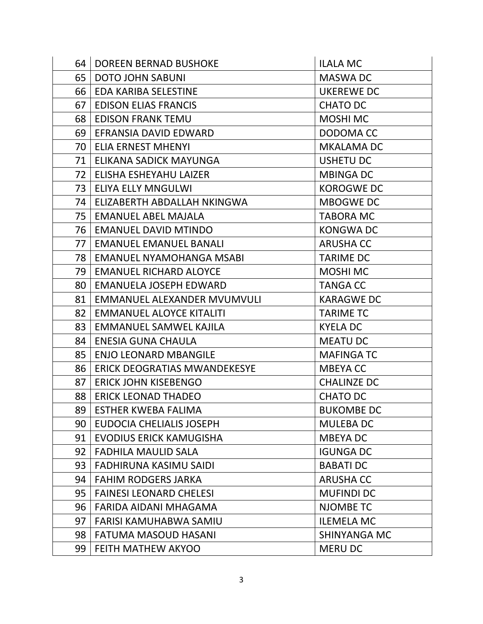| 64 <sup>1</sup> | <b>DOREEN BERNAD BUSHOKE</b>        | <b>ILALA MC</b>     |
|-----------------|-------------------------------------|---------------------|
| 65              | <b>DOTO JOHN SABUNI</b>             | <b>MASWA DC</b>     |
| 66              | EDA KARIBA SELESTINE                | <b>UKEREWE DC</b>   |
| 67              | <b>EDISON ELIAS FRANCIS</b>         | <b>CHATO DC</b>     |
| 68              | <b>EDISON FRANK TEMU</b>            | <b>MOSHI MC</b>     |
| 69              | EFRANSIA DAVID EDWARD               | DODOMA CC           |
| 70              | <b>ELIA ERNEST MHENYI</b>           | <b>MKALAMA DC</b>   |
| 71              | ELIKANA SADICK MAYUNGA              | <b>USHETU DC</b>    |
| 72              | ELISHA ESHEYAHU LAIZER              | <b>MBINGA DC</b>    |
| 73              | <b>ELIYA ELLY MNGULWI</b>           | <b>KOROGWEDC</b>    |
| 74              | ELIZABERTH ABDALLAH NKINGWA         | <b>MBOGWE DC</b>    |
| 75              | <b>EMANUEL ABEL MAJALA</b>          | <b>TABORA MC</b>    |
| 76              | <b>EMANUEL DAVID MTINDO</b>         | <b>KONGWADC</b>     |
| 77              | <b>EMANUEL EMANUEL BANALI</b>       | <b>ARUSHA CC</b>    |
| 78              | EMANUEL NYAMOHANGA MSABI            | <b>TARIME DC</b>    |
| 79              | <b>EMANUEL RICHARD ALOYCE</b>       | <b>MOSHI MC</b>     |
| 80              | EMANUELA JOSEPH EDWARD              | <b>TANGA CC</b>     |
| 81              | EMMANUEL ALEXANDER MVUMVULI         | <b>KARAGWE DC</b>   |
| 82              | <b>EMMANUEL ALOYCE KITALITI</b>     | <b>TARIME TC</b>    |
| 83              | EMMANUEL SAMWEL KAJILA              | <b>KYELA DC</b>     |
| 84              | <b>ENESIA GUNA CHAULA</b>           | <b>MEATU DC</b>     |
| 85              | <b>ENJO LEONARD MBANGILE</b>        | <b>MAFINGATC</b>    |
| 86              | <b>ERICK DEOGRATIAS MWANDEKESYE</b> | <b>MBEYACC</b>      |
| 87              | <b>ERICK JOHN KISEBENGO</b>         | <b>CHALINZE DC</b>  |
| 88              | <b>ERICK LEONAD THADEO</b>          | <b>CHATO DC</b>     |
| 89              | <b>ESTHER KWEBA FALIMA</b>          | <b>BUKOMBE DC</b>   |
| 90              | EUDOCIA CHELIALIS JOSEPH            | <b>MULEBA DC</b>    |
| 91              | <b>EVODIUS ERICK KAMUGISHA</b>      | MBEYA DC            |
| 92              | <b>FADHILA MAULID SALA</b>          | <b>IGUNGA DC</b>    |
| 93              | FADHIRUNA KASIMU SAIDI              | <b>BABATI DC</b>    |
| 94              | <b>FAHIM RODGERS JARKA</b>          | <b>ARUSHA CC</b>    |
| 95              | <b>FAINESI LEONARD CHELESI</b>      | <b>MUFINDI DC</b>   |
| 96              | FARIDA AIDANI MHAGAMA               | <b>NJOMBE TC</b>    |
| 97              | FARISI KAMUHABWA SAMIU              | <b>ILEMELA MC</b>   |
| 98              | <b>FATUMA MASOUD HASANI</b>         | <b>SHINYANGA MC</b> |
| 99              | <b>FEITH MATHEW AKYOO</b>           | <b>MERU DC</b>      |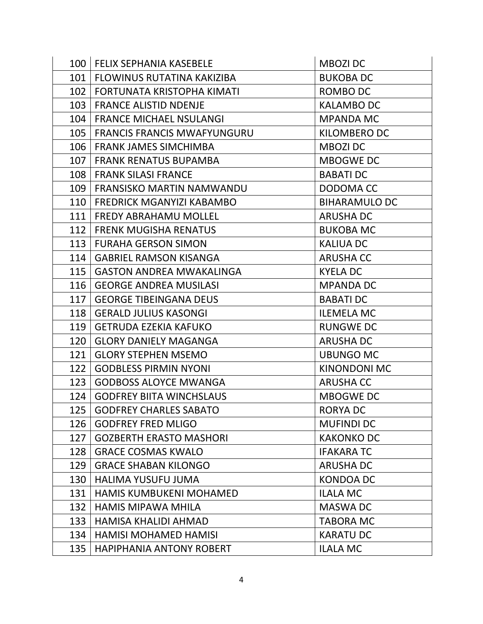|     | 100   FELIX SEPHANIA KASEBELE      | <b>MBOZIDC</b>       |
|-----|------------------------------------|----------------------|
|     | 101   FLOWINUS RUTATINA KAKIZIBA   | <b>BUKOBA DC</b>     |
|     | 102   FORTUNATA KRISTOPHA KIMATI   | ROMBO DC             |
| 103 | <b>FRANCE ALISTID NDENJE</b>       | <b>KALAMBO DC</b>    |
|     | 104   FRANCE MICHAEL NSULANGI      | <b>MPANDA MC</b>     |
| 105 | <b>FRANCIS FRANCIS MWAFYUNGURU</b> | <b>KILOMBERO DC</b>  |
| 106 | FRANK JAMES SIMCHIMBA              | MBOZI DC             |
| 107 | <b>FRANK RENATUS BUPAMBA</b>       | <b>MBOGWE DC</b>     |
| 108 | <b>FRANK SILASI FRANCE</b>         | <b>BABATI DC</b>     |
| 109 | FRANSISKO MARTIN NAMWANDU          | DODOMA CC            |
|     | 110   FREDRICK MGANYIZI KABAMBO    | <b>BIHARAMULO DC</b> |
|     | 111   FREDY ABRAHAMU MOLLEL        | <b>ARUSHA DC</b>     |
|     | 112   FRENK MUGISHA RENATUS        | <b>BUKOBA MC</b>     |
| 113 | <b>FURAHA GERSON SIMON</b>         | <b>KALIUA DC</b>     |
| 114 | <b>GABRIEL RAMSON KISANGA</b>      | <b>ARUSHA CC</b>     |
| 115 | <b>GASTON ANDREA MWAKALINGA</b>    | <b>KYELA DC</b>      |
| 116 | <b>GEORGE ANDREA MUSILASI</b>      | <b>MPANDA DC</b>     |
| 117 | <b>GEORGE TIBEINGANA DEUS</b>      | <b>BABATI DC</b>     |
| 118 | <b>GERALD JULIUS KASONGI</b>       | <b>ILEMELA MC</b>    |
| 119 | <b>GETRUDA EZEKIA KAFUKO</b>       | <b>RUNGWE DC</b>     |
| 120 | <b>GLORY DANIELY MAGANGA</b>       | <b>ARUSHA DC</b>     |
| 121 | <b>GLORY STEPHEN MSEMO</b>         | <b>UBUNGO MC</b>     |
| 122 | <b>GODBLESS PIRMIN NYONI</b>       | <b>KINONDONI MC</b>  |
|     | 123   GODBOSS ALOYCE MWANGA        | <b>ARUSHA CC</b>     |
| 124 | <b>GODFREY BIITA WINCHSLAUS</b>    | <b>MBOGWE DC</b>     |
| 125 | <b>GODFREY CHARLES SABATO</b>      | <b>RORYA DC</b>      |
| 126 | <b>GODFREY FRED MLIGO</b>          | <b>MUFINDI DC</b>    |
| 127 | <b>GOZBERTH ERASTO MASHORI</b>     | <b>KAKONKO DC</b>    |
| 128 | <b>GRACE COSMAS KWALO</b>          | <b>IFAKARATC</b>     |
| 129 | <b>GRACE SHABAN KILONGO</b>        | <b>ARUSHA DC</b>     |
| 130 | <b>HALIMA YUSUFU JUMA</b>          | <b>KONDOA DC</b>     |
| 131 | <b>HAMIS KUMBUKENI MOHAMED</b>     | <b>ILALA MC</b>      |
| 132 | <b>HAMIS MIPAWA MHILA</b>          | <b>MASWA DC</b>      |
| 133 | HAMISA KHALIDI AHMAD               | <b>TABORA MC</b>     |
| 134 | <b>HAMISI MOHAMED HAMISI</b>       | <b>KARATU DC</b>     |
| 135 | <b>HAPIPHANIA ANTONY ROBERT</b>    | <b>ILALA MC</b>      |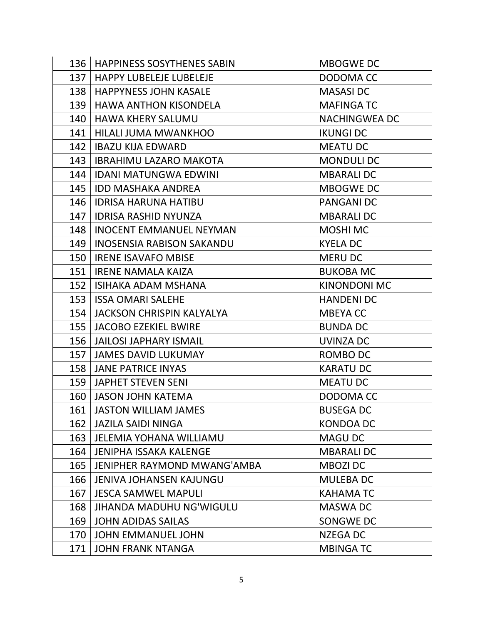| <b>MBOGWE DC</b>     |
|----------------------|
| DODOMA CC            |
| <b>MASASIDC</b>      |
| <b>MAFINGA TC</b>    |
| <b>NACHINGWEA DC</b> |
| <b>IKUNGI DC</b>     |
| <b>MEATU DC</b>      |
| <b>MONDULI DC</b>    |
| <b>MBARALI DC</b>    |
| <b>MBOGWE DC</b>     |
| <b>PANGANI DC</b>    |
| <b>MBARALI DC</b>    |
| <b>MOSHI MC</b>      |
| <b>KYELA DC</b>      |
| <b>MERU DC</b>       |
| <b>BUKOBA MC</b>     |
| <b>KINONDONI MC</b>  |
| <b>HANDENI DC</b>    |
| <b>MBEYACC</b>       |
| <b>BUNDA DC</b>      |
| <b>UVINZA DC</b>     |
| ROMBO DC             |
| <b>KARATU DC</b>     |
| <b>MEATU DC</b>      |
| DODOMA CC            |
| <b>BUSEGA DC</b>     |
| <b>KONDOA DC</b>     |
| <b>MAGU DC</b>       |
| <b>MBARALIDC</b>     |
| <b>MBOZIDC</b>       |
| <b>MULEBA DC</b>     |
| <b>KAHAMATC</b>      |
| <b>MASWA DC</b>      |
| SONGWE DC            |
| NZEGA DC             |
| <b>MBINGATC</b>      |
|                      |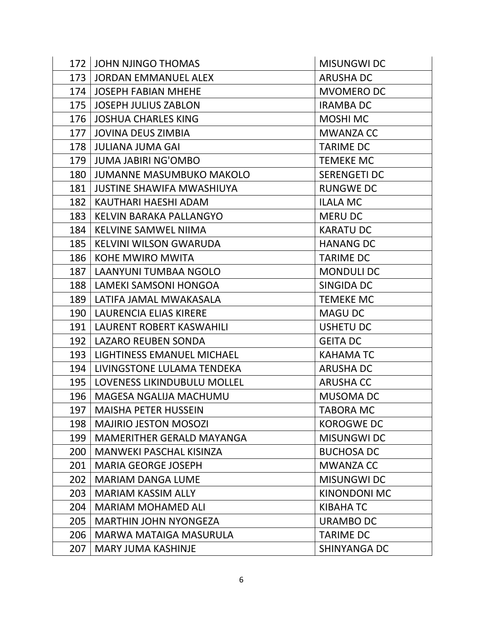|     | 172 JOHN NJINGO THOMAS            | <b>MISUNGWI DC</b>  |
|-----|-----------------------------------|---------------------|
|     | 173   JORDAN EMMANUEL ALEX        | <b>ARUSHA DC</b>    |
|     | 174   JOSEPH FABIAN MHEHE         | <b>MVOMERO DC</b>   |
| 175 | JOSEPH JULIUS ZABLON              | <b>IRAMBA DC</b>    |
| 176 | <b>JOSHUA CHARLES KING</b>        | <b>MOSHI MC</b>     |
| 177 | <b>JOVINA DEUS ZIMBIA</b>         | <b>MWANZA CC</b>    |
| 178 | JULIANA JUMA GAI                  | <b>TARIME DC</b>    |
| 179 | JUMA JABIRI NG'OMBO               | <b>TEMEKE MC</b>    |
|     | 180   JUMANNE MASUMBUKO MAKOLO    | <b>SERENGETI DC</b> |
|     | 181   JUSTINE SHAWIFA MWASHIUYA   | <b>RUNGWE DC</b>    |
| 182 | KAUTHARI HAESHI ADAM              | <b>ILALA MC</b>     |
| 183 | KELVIN BARAKA PALLANGYO           | <b>MERU DC</b>      |
| 184 | KELVINE SAMWEL NIIMA              | <b>KARATU DC</b>    |
|     | 185   KELVINI WILSON GWARUDA      | <b>HANANG DC</b>    |
| 186 | KOHE MWIRO MWITA                  | <b>TARIME DC</b>    |
|     | 187   LAANYUNI TUMBAA NGOLO       | <b>MONDULI DC</b>   |
| 188 | LAMEKI SAMSONI HONGOA             | <b>SINGIDA DC</b>   |
|     | 189   LATIFA JAMAL MWAKASALA      | <b>TEMEKE MC</b>    |
| 190 | <b>LAURENCIA ELIAS KIRERE</b>     | <b>MAGU DC</b>      |
|     | 191   LAURENT ROBERT KASWAHILI    | <b>USHETU DC</b>    |
|     | 192   LAZARO REUBEN SONDA         | <b>GEITA DC</b>     |
| 193 | LIGHTINESS EMANUEL MICHAEL        | <b>KAHAMATC</b>     |
|     | 194   LIVINGSTONE LULAMA TENDEKA  | <b>ARUSHA DC</b>    |
|     | 195   LOVENESS LIKINDUBULU MOLLEL | <b>ARUSHA CC</b>    |
| 196 | MAGESA NGALIJA MACHUMU            | <b>MUSOMA DC</b>    |
| 197 | <b>MAISHA PETER HUSSEIN</b>       | <b>TABORA MC</b>    |
| 198 | <b>MAJIRIO JESTON MOSOZI</b>      | <b>KOROGWE DC</b>   |
| 199 | <b>MAMERITHER GERALD MAYANGA</b>  | <b>MISUNGWI DC</b>  |
| 200 | <b>MANWEKI PASCHAL KISINZA</b>    | <b>BUCHOSA DC</b>   |
| 201 | <b>MARIA GEORGE JOSEPH</b>        | <b>MWANZA CC</b>    |
| 202 | <b>MARIAM DANGA LUME</b>          | <b>MISUNGWI DC</b>  |
| 203 | <b>MARIAM KASSIM ALLY</b>         | <b>KINONDONI MC</b> |
| 204 | <b>MARIAM MOHAMED ALI</b>         | <b>KIBAHA TC</b>    |
| 205 | <b>MARTHIN JOHN NYONGEZA</b>      | URAMBO DC           |
| 206 | MARWA MATAIGA MASURULA            | <b>TARIME DC</b>    |
| 207 | <b>MARY JUMA KASHINJE</b>         | SHINYANGA DC        |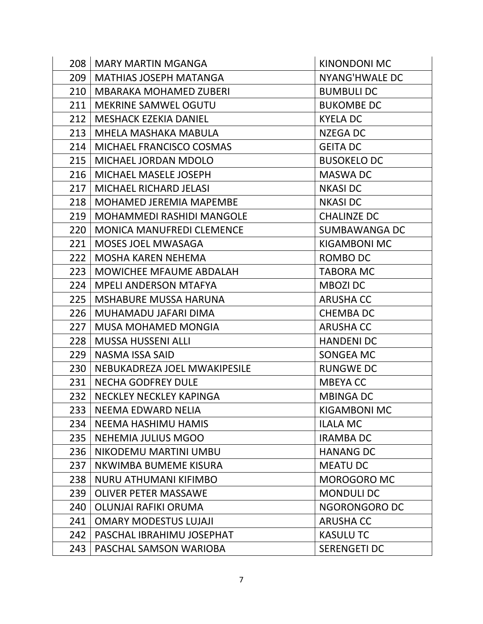|     | 208   MARY MARTIN MGANGA         | <b>KINONDONI MC</b>   |
|-----|----------------------------------|-----------------------|
| 209 | <b>MATHIAS JOSEPH MATANGA</b>    | <b>NYANG'HWALE DC</b> |
| 210 | <b>MBARAKA MOHAMED ZUBERI</b>    | <b>BUMBULI DC</b>     |
| 211 | <b>MEKRINE SAMWEL OGUTU</b>      | <b>BUKOMBE DC</b>     |
| 212 | <b>MESHACK EZEKIA DANIEL</b>     | <b>KYELA DC</b>       |
| 213 | MHELA MASHAKA MABULA             | NZEGA DC              |
| 214 | MICHAEL FRANCISCO COSMAS         | <b>GEITA DC</b>       |
| 215 | MICHAEL JORDAN MDOLO             | <b>BUSOKELO DC</b>    |
| 216 | MICHAEL MASELE JOSEPH            | <b>MASWA DC</b>       |
| 217 | MICHAEL RICHARD JELASI           | <b>NKASIDC</b>        |
| 218 | <b>MOHAMED JEREMIA MAPEMBE</b>   | <b>NKASIDC</b>        |
| 219 | <b>MOHAMMEDI RASHIDI MANGOLE</b> | <b>CHALINZE DC</b>    |
| 220 | <b>MONICA MANUFREDI CLEMENCE</b> | <b>SUMBAWANGA DC</b>  |
| 221 | MOSES JOEL MWASAGA               | <b>KIGAMBONI MC</b>   |
| 222 | <b>MOSHA KAREN NEHEMA</b>        | ROMBO DC              |
| 223 | <b>MOWICHEE MFAUME ABDALAH</b>   | <b>TABORA MC</b>      |
| 224 | MPELI ANDERSON MTAFYA            | <b>MBOZI DC</b>       |
| 225 | <b>MSHABURE MUSSA HARUNA</b>     | <b>ARUSHA CC</b>      |
| 226 | MUHAMADU JAFARI DIMA             | <b>CHEMBADC</b>       |
| 227 | <b>MUSA MOHAMED MONGIA</b>       | <b>ARUSHA CC</b>      |
| 228 | <b>MUSSA HUSSENI ALLI</b>        | <b>HANDENI DC</b>     |
| 229 | NASMA ISSA SAID                  | SONGEA MC             |
| 230 | NEBUKADREZA JOEL MWAKIPESILE     | <b>RUNGWE DC</b>      |
| 231 | <b>NECHA GODFREY DULE</b>        | <b>MBEYACC</b>        |
| 232 | NECKLEY NECKLEY KAPINGA          | <b>MBINGA DC</b>      |
| 233 | NEEMA EDWARD NELIA               | KIGAMBONI MC          |
| 234 | <b>NEEMA HASHIMU HAMIS</b>       | <b>ILALA MC</b>       |
| 235 | NEHEMIA JULIUS MGOO              | <b>IRAMBA DC</b>      |
| 236 | NIKODEMU MARTINI UMBU            | <b>HANANG DC</b>      |
| 237 | NKWIMBA BUMEME KISURA            | <b>MEATU DC</b>       |
| 238 | <b>NURU ATHUMANI KIFIMBO</b>     | <b>MOROGORO MC</b>    |
| 239 | <b>OLIVER PETER MASSAWE</b>      | <b>MONDULI DC</b>     |
| 240 | OLUNJAI RAFIKI ORUMA             | NGORONGORO DC         |
| 241 | <b>OMARY MODESTUS LUJAJI</b>     | <b>ARUSHA CC</b>      |
| 242 | PASCHAL IBRAHIMU JOSEPHAT        | <b>KASULU TC</b>      |
| 243 | PASCHAL SAMSON WARIOBA           | <b>SERENGETI DC</b>   |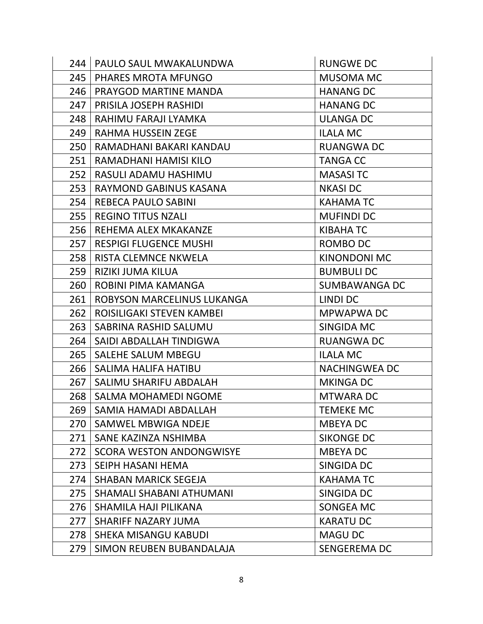|     | 244   PAULO SAUL MWAKALUNDWA    | <b>RUNGWE DC</b>     |
|-----|---------------------------------|----------------------|
| 245 | <b>PHARES MROTA MFUNGO</b>      | MUSOMA MC            |
|     | 246   PRAYGOD MARTINE MANDA     | <b>HANANG DC</b>     |
| 247 | PRISILA JOSEPH RASHIDI          | <b>HANANG DC</b>     |
| 248 | RAHIMU FARAJI LYAMKA            | <b>ULANGA DC</b>     |
| 249 | RAHMA HUSSEIN ZEGE              | <b>ILALA MC</b>      |
| 250 | RAMADHANI BAKARI KANDAU         | <b>RUANGWA DC</b>    |
| 251 | RAMADHANI HAMISI KILO           | <b>TANGA CC</b>      |
| 252 | RASULI ADAMU HASHIMU            | <b>MASASITC</b>      |
| 253 | RAYMOND GABINUS KASANA          | <b>NKASIDC</b>       |
| 254 | REBECA PAULO SABINI             | <b>KAHAMATC</b>      |
|     | 255   REGINO TITUS NZALI        | <b>MUFINDI DC</b>    |
| 256 | REHEMA ALEX MKAKANZE            | <b>KIBAHA TC</b>     |
|     | 257   RESPIGI FLUGENCE MUSHI    | ROMBO DC             |
| 258 | <b>RISTA CLEMNCE NKWELA</b>     | <b>KINONDONI MC</b>  |
| 259 | RIZIKI JUMA KILUA               | <b>BUMBULI DC</b>    |
| 260 | ROBINI PIMA KAMANGA             | <b>SUMBAWANGA DC</b> |
| 261 | ROBYSON MARCELINUS LUKANGA      | LINDI DC             |
| 262 | ROISILIGAKI STEVEN KAMBEI       | MPWAPWA DC           |
| 263 | SABRINA RASHID SALUMU           | SINGIDA MC           |
| 264 | SAIDI ABDALLAH TINDIGWA         | <b>RUANGWA DC</b>    |
| 265 | <b>SALEHE SALUM MBEGU</b>       | <b>ILALA MC</b>      |
| 266 | SALIMA HALIFA HATIBU            | <b>NACHINGWEA DC</b> |
|     | 267   SALIMU SHARIFU ABDALAH    | <b>MKINGA DC</b>     |
| 268 | <b>SALMA MOHAMEDI NGOME</b>     | <b>MTWARA DC</b>     |
| 269 | SAMIA HAMADI ABDALLAH           | <b>TEMEKE MC</b>     |
| 270 | SAMWEL MBWIGA NDEJE             | <b>MBEYADC</b>       |
| 271 | SANE KAZINZA NSHIMBA            | <b>SIKONGE DC</b>    |
| 272 | <b>SCORA WESTON ANDONGWISYE</b> | <b>MBEYADC</b>       |
| 273 | SEIPH HASANI HEMA               | SINGIDA DC           |
| 274 | <b>SHABAN MARICK SEGEJA</b>     | <b>KAHAMATC</b>      |
| 275 | SHAMALI SHABANI ATHUMANI        | SINGIDA DC           |
| 276 | SHAMILA HAJI PILIKANA           | SONGEA MC            |
| 277 | SHARIFF NAZARY JUMA             | <b>KARATU DC</b>     |
| 278 | SHEKA MISANGU KABUDI            | <b>MAGU DC</b>       |
| 279 | SIMON REUBEN BUBANDALAJA        | <b>SENGEREMA DC</b>  |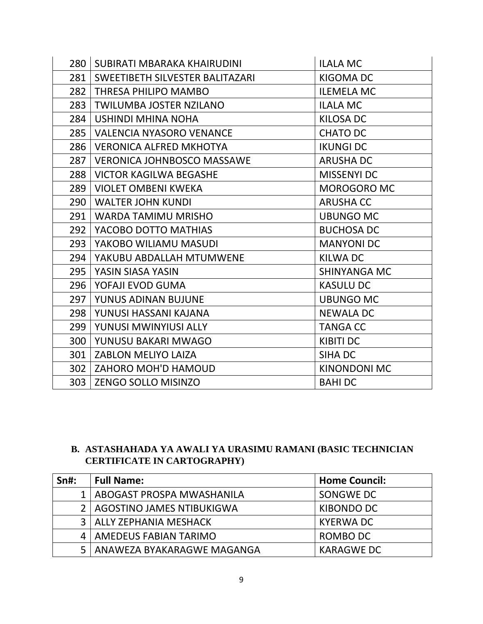|     | 280 SUBIRATI MBARAKA KHAIRUDINI        | <b>ILALA MC</b>     |
|-----|----------------------------------------|---------------------|
| 281 | <b>SWEETIBETH SILVESTER BALITAZARI</b> | <b>KIGOMA DC</b>    |
| 282 | <b>THRESA PHILIPO MAMBO</b>            | <b>ILEMELA MC</b>   |
| 283 | <b>TWILUMBA JOSTER NZILANO</b>         | <b>ILALA MC</b>     |
| 284 | USHINDI MHINA NOHA                     | KILOSA DC           |
|     | 285   VALENCIA NYASORO VENANCE         | <b>CHATO DC</b>     |
| 286 | <b>VERONICA ALFRED MKHOTYA</b>         | <b>IKUNGI DC</b>    |
| 287 | <b>VERONICA JOHNBOSCO MASSAWE</b>      | <b>ARUSHA DC</b>    |
| 288 | VICTOR KAGILWA BEGASHE                 | <b>MISSENYI DC</b>  |
| 289 | VIOLET OMBENI KWEKA                    | <b>MOROGORO MC</b>  |
|     | 290   WALTER JOHN KUNDI                | <b>ARUSHA CC</b>    |
| 291 | <b>WARDA TAMIMU MRISHO</b>             | <b>UBUNGO MC</b>    |
| 292 | YACOBO DOTTO MATHIAS                   | <b>BUCHOSA DC</b>   |
| 293 | YAKOBO WILIAMU MASUDI                  | <b>MANYONI DC</b>   |
| 294 | YAKUBU ABDALLAH MTUMWENE               | KILWA DC            |
| 295 | <b>YASIN SIASA YASIN</b>               | <b>SHINYANGA MC</b> |
|     | 296   YOFAJI EVOD GUMA                 | <b>KASULU DC</b>    |
| 297 | YUNUS ADINAN BUJUNE                    | <b>UBUNGO MC</b>    |
| 298 | YUNUSI HASSANI KAJANA                  | <b>NEWALA DC</b>    |
| 299 | YUNUSI MWINYIUSI ALLY                  | <b>TANGA CC</b>     |
| 300 | YUNUSU BAKARI MWAGO                    | <b>KIBITI DC</b>    |
| 301 | ZABLON MELIYO LAIZA                    | SIHA DC             |
| 302 | ZAHORO MOH'D HAMOUD                    | <b>KINONDONI MC</b> |
| 303 | <b>ZENGO SOLLO MISINZO</b>             | <b>BAHIDC</b>       |

# **B. ASTASHAHADA YA AWALI YA URASIMU RAMANI (BASIC TECHNICIAN CERTIFICATE IN CARTOGRAPHY)**

| <b>Sn#:</b>   | <b>Full Name:</b>          | <b>Home Council:</b> |
|---------------|----------------------------|----------------------|
|               | ABOGAST PROSPA MWASHANILA  | SONGWE DC            |
| $\mathcal{P}$ | AGOSTINO JAMES NTIBUKIGWA  | KIBONDO DC           |
| ર             | ALLY ZEPHANIA MESHACK      | <b>KYERWA DC</b>     |
|               | AMEDEUS FABIAN TARIMO      | ROMBO DC             |
| 5             | ANAWEZA BYAKARAGWE MAGANGA | <b>KARAGWE DC</b>    |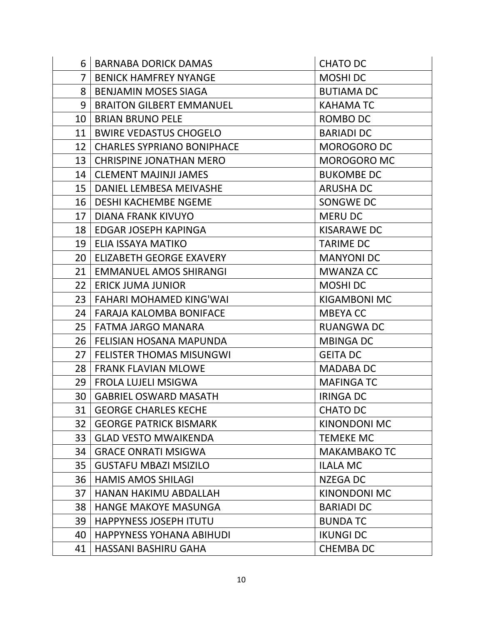| 6               | <b>BARNABA DORICK DAMAS</b>       | <b>CHATO DC</b>     |
|-----------------|-----------------------------------|---------------------|
| $\overline{7}$  | <b>BENICK HAMFREY NYANGE</b>      | <b>MOSHIDC</b>      |
| 8               | <b>BENJAMIN MOSES SIAGA</b>       | <b>BUTIAMA DC</b>   |
| 9               | <b>BRAITON GILBERT EMMANUEL</b>   | <b>KAHAMATC</b>     |
| 10              | <b>BRIAN BRUNO PELE</b>           | ROMBO DC            |
| 11              | <b>BWIRE VEDASTUS CHOGELO</b>     | <b>BARIADI DC</b>   |
| 12              | <b>CHARLES SYPRIANO BONIPHACE</b> | <b>MOROGORO DC</b>  |
| 13              | <b>CHRISPINE JONATHAN MERO</b>    | <b>MOROGORO MC</b>  |
|                 | 14   CLEMENT MAJINJI JAMES        | <b>BUKOMBE DC</b>   |
| 15              | <b>DANIEL LEMBESA MEIVASHE</b>    | <b>ARUSHA DC</b>    |
| 16              | <b>DESHI KACHEMBE NGEME</b>       | SONGWE DC           |
| 17              | DIANA FRANK KIVUYO                | <b>MERU DC</b>      |
| 18              | EDGAR JOSEPH KAPINGA              | <b>KISARAWE DC</b>  |
| 19              | ELIA ISSAYA MATIKO                | <b>TARIME DC</b>    |
| 20              | ELIZABETH GEORGE EXAVERY          | <b>MANYONI DC</b>   |
| 21 <sup>1</sup> | <b>EMMANUEL AMOS SHIRANGI</b>     | <b>MWANZA CC</b>    |
| 22 <sub>1</sub> | <b>ERICK JUMA JUNIOR</b>          | <b>MOSHIDC</b>      |
| 23              | FAHARI MOHAMED KING'WAI           | <b>KIGAMBONI MC</b> |
| 24              | <b>FARAJA KALOMBA BONIFACE</b>    | <b>MBEYACC</b>      |
| 25              | FATMA JARGO MANARA                | <b>RUANGWA DC</b>   |
| 26              | FELISIAN HOSANA MAPUNDA           | <b>MBINGA DC</b>    |
| 27              | <b>FELISTER THOMAS MISUNGWI</b>   | <b>GEITA DC</b>     |
| 28              | <b>FRANK FLAVIAN MLOWE</b>        | <b>MADABA DC</b>    |
| 29              | <b>FROLA LUJELI MSIGWA</b>        | <b>MAFINGATC</b>    |
| 30              | <b>GABRIEL OSWARD MASATH</b>      | <b>IRINGA DC</b>    |
| 31              | <b>GEORGE CHARLES KECHE</b>       | <b>CHATO DC</b>     |
| 32              | <b>GEORGE PATRICK BISMARK</b>     | <b>KINONDONI MC</b> |
| 33              | <b>GLAD VESTO MWAIKENDA</b>       | <b>TEMEKE MC</b>    |
| 34              | <b>GRACE ONRATI MSIGWA</b>        | <b>MAKAMBAKO TC</b> |
| 35              | <b>GUSTAFU MBAZI MSIZILO</b>      | <b>ILALA MC</b>     |
| 36              | <b>HAMIS AMOS SHILAGI</b>         | <b>NZEGA DC</b>     |
| 37              | HANAN HAKIMU ABDALLAH             | <b>KINONDONI MC</b> |
| 38              | <b>HANGE MAKOYE MASUNGA</b>       | <b>BARIADI DC</b>   |
| 39              | <b>HAPPYNESS JOSEPH ITUTU</b>     | <b>BUNDATC</b>      |
| 40              | <b>HAPPYNESS YOHANA ABIHUDI</b>   | <b>IKUNGI DC</b>    |
| 41              | HASSANI BASHIRU GAHA              | <b>CHEMBADC</b>     |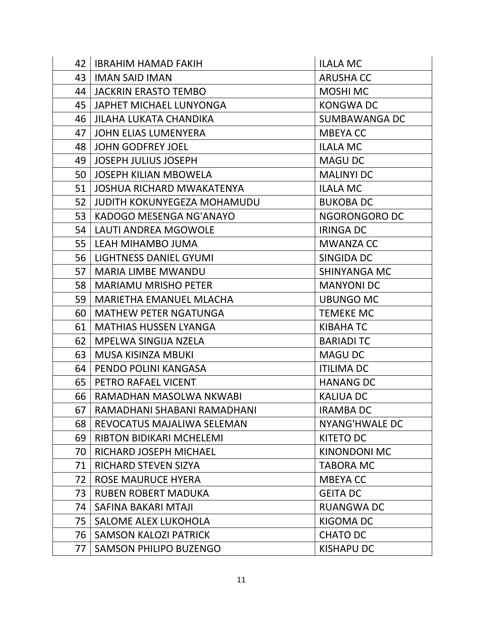|    | 42   IBRAHIM HAMAD FAKIH       | <b>ILALA MC</b>       |
|----|--------------------------------|-----------------------|
| 43 | <b>IMAN SAID IMAN</b>          | <b>ARUSHA CC</b>      |
|    | 44   JACKRIN ERASTO TEMBO      | <b>MOSHI MC</b>       |
| 45 | JAPHET MICHAEL LUNYONGA        | <b>KONGWADC</b>       |
| 46 | <b>JILAHA LUKATA CHANDIKA</b>  | <b>SUMBAWANGA DC</b>  |
| 47 | JOHN ELIAS LUMENYERA           | <b>MBEYACC</b>        |
| 48 | <b>JOHN GODFREY JOEL</b>       | <b>ILALA MC</b>       |
| 49 | <b>JOSEPH JULIUS JOSEPH</b>    | <b>MAGU DC</b>        |
| 50 | JOSEPH KILIAN MBOWELA          | <b>MALINYI DC</b>     |
|    | 51 JOSHUA RICHARD MWAKATENYA   | <b>ILALA MC</b>       |
| 52 | JUDITH KOKUNYEGEZA MOHAMUDU    | <b>BUKOBA DC</b>      |
| 53 | KADOGO MESENGA NG'ANAYO        | NGORONGORO DC         |
|    | 54   LAUTI ANDREA MGOWOLE      | <b>IRINGA DC</b>      |
|    | 55   LEAH MIHAMBO JUMA         | <b>MWANZA CC</b>      |
| 56 | <b>LIGHTNESS DANIEL GYUMI</b>  | SINGIDA DC            |
| 57 | MARIA LIMBE MWANDU             | SHINYANGA MC          |
| 58 | <b>MARIAMU MRISHO PETER</b>    | <b>MANYONI DC</b>     |
| 59 | <b>MARIETHA EMANUEL MLACHA</b> | <b>UBUNGO MC</b>      |
| 60 | <b>MATHEW PETER NGATUNGA</b>   | <b>TEMEKE MC</b>      |
| 61 | <b>MATHIAS HUSSEN LYANGA</b>   | KIBAHA TC             |
| 62 | MPELWA SINGIJA NZELA           | <b>BARIADI TC</b>     |
| 63 | MUSA KISINZA MBUKI             | <b>MAGU DC</b>        |
| 64 | PENDO POLINI KANGASA           | <b>ITILIMA DC</b>     |
| 65 | PETRO RAFAEL VICENT            | <b>HANANG DC</b>      |
| 66 | RAMADHAN MASOLWA NKWABI        | <b>KALIUA DC</b>      |
| 67 | RAMADHANI SHABANI RAMADHANI    | <b>IRAMBA DC</b>      |
| 68 | REVOCATUS MAJALIWA SELEMAN     | <b>NYANG'HWALE DC</b> |
| 69 | RIBTON BIDIKARI MCHELEMI       | <b>KITETO DC</b>      |
| 70 | RICHARD JOSEPH MICHAEL         | <b>KINONDONI MC</b>   |
| 71 | <b>RICHARD STEVEN SIZYA</b>    | <b>TABORA MC</b>      |
| 72 | ROSE MAURUCE HYERA             | <b>MBEYACC</b>        |
| 73 | <b>RUBEN ROBERT MADUKA</b>     | <b>GEITA DC</b>       |
| 74 | SAFINA BAKARI MTAJI            | <b>RUANGWA DC</b>     |
| 75 | SALOME ALEX LUKOHOLA           | <b>KIGOMA DC</b>      |
| 76 | <b>SAMSON KALOZI PATRICK</b>   | <b>CHATO DC</b>       |
| 77 | <b>SAMSON PHILIPO BUZENGO</b>  | <b>KISHAPU DC</b>     |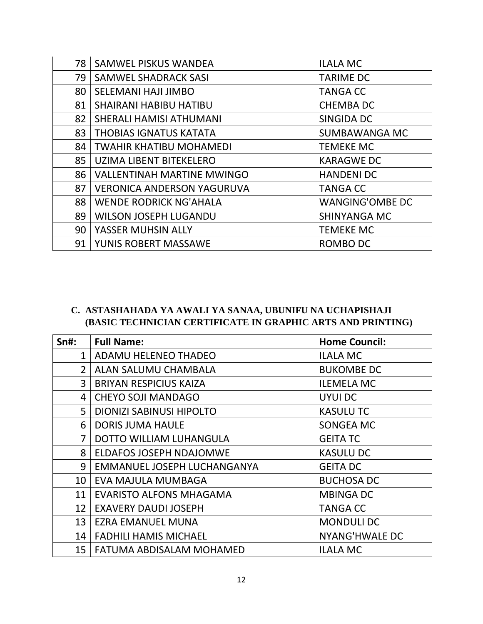| 78 | <b>SAMWEL PISKUS WANDEA</b>       | <b>ILALA MC</b>        |
|----|-----------------------------------|------------------------|
| 79 | <b>SAMWEL SHADRACK SASI</b>       | <b>TARIME DC</b>       |
| 80 | SELEMANI HAJI JIMBO               | <b>TANGA CC</b>        |
| 81 | <b>SHAIRANI HABIBU HATIBU</b>     | <b>CHEMBADC</b>        |
| 82 | SHERALI HAMISI ATHUMANI           | SINGIDA DC             |
| 83 | <b>THOBIAS IGNATUS KATATA</b>     | <b>SUMBAWANGA MC</b>   |
| 84 | TWAHIR KHATIBU MOHAMEDI           | <b>TEMEKE MC</b>       |
| 85 | UZIMA LIBENT BITEKELERO           | <b>KARAGWE DC</b>      |
| 86 | <b>VALLENTINAH MARTINE MWINGO</b> | <b>HANDENI DC</b>      |
| 87 | <b>VERONICA ANDERSON YAGURUVA</b> | <b>TANGA CC</b>        |
| 88 | <b>WENDE RODRICK NG'AHALA</b>     | <b>WANGING'OMBE DC</b> |
| 89 | <b>WILSON JOSEPH LUGANDU</b>      | <b>SHINYANGA MC</b>    |
| 90 | YASSER MUHSIN ALLY                | <b>TEMEKE MC</b>       |
| 91 | YUNIS ROBERT MASSAWE              | ROMBO DC               |

## **C. ASTASHAHADA YA AWALI YA SANAA, UBUNIFU NA UCHAPISHAJI (BASIC TECHNICIAN CERTIFICATE IN GRAPHIC ARTS AND PRINTING)**

| $Sn#$ :        | <b>Full Name:</b>              | <b>Home Council:</b> |
|----------------|--------------------------------|----------------------|
| 1              | <b>ADAMU HELENEO THADEO</b>    | <b>ILALA MC</b>      |
| $\overline{2}$ | ALAN SALUMU CHAMBALA           | <b>BUKOMBE DC</b>    |
| 3              | <b>BRIYAN RESPICIUS KAIZA</b>  | <b>ILEMELA MC</b>    |
| 4              | <b>CHEYO SOJI MANDAGO</b>      | UYUI DC              |
| 5              | DIONIZI SABINUSI HIPOLTO       | <b>KASULUTC</b>      |
| 6              | <b>DORIS JUMA HAULE</b>        | SONGEA MC            |
| $\overline{7}$ | DOTTO WILLIAM LUHANGULA        | <b>GEITA TC</b>      |
| 8              | <b>ELDAFOS JOSEPH NDAJOMWE</b> | <b>KASULU DC</b>     |
| 9              | EMMANUEL JOSEPH LUCHANGANYA    | <b>GEITA DC</b>      |
| 10             | EVA MAJULA MUMBAGA             | <b>BUCHOSA DC</b>    |
| 11             | <b>EVARISTO ALFONS MHAGAMA</b> | <b>MBINGA DC</b>     |
| 12             | <b>EXAVERY DAUDI JOSEPH</b>    | <b>TANGA CC</b>      |
| 13             | EZRA EMANUEL MUNA              | <b>MONDULI DC</b>    |
| 14             | <b>FADHILI HAMIS MICHAEL</b>   | NYANG'HWALE DC       |
| 15             | FATUMA ABDISALAM MOHAMED       | <b>ILALA MC</b>      |